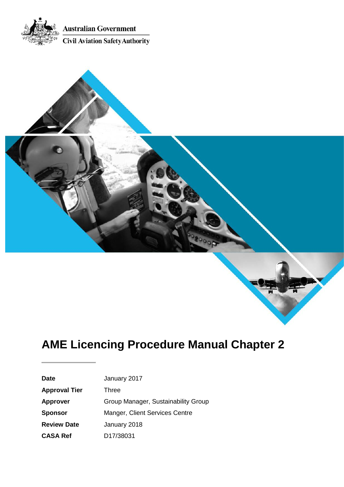



| <b>Date</b>          | January 2017                        |
|----------------------|-------------------------------------|
| <b>Approval Tier</b> | Three                               |
| <b>Approver</b>      | Group Manager, Sustainability Group |
| <b>Sponsor</b>       | Manger, Client Services Centre      |
| <b>Review Date</b>   | January 2018                        |
| <b>CASA Ref</b>      | D <sub>17</sub> /38031              |
|                      |                                     |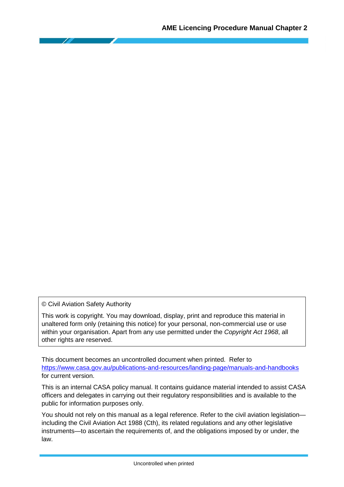© Civil Aviation Safety Authority

This work is copyright. You may download, display, print and reproduce this material in unaltered form only (retaining this notice) for your personal, non-commercial use or use within your organisation. Apart from any use permitted under the *Copyright Act 1968*, all other rights are reserved.

This document becomes an uncontrolled document when printed. Refer to <https://www.casa.gov.au/publications-and-resources/landing-page/manuals-and-handbooks> for current version.

This is an internal CASA policy manual. It contains guidance material intended to assist CASA officers and delegates in carrying out their regulatory responsibilities and is available to the public for information purposes only.

You should not rely on this manual as a legal reference. Refer to the civil aviation legislation including the Civil Aviation Act 1988 (Cth), its related regulations and any other legislative instruments—to ascertain the requirements of, and the obligations imposed by or under, the law.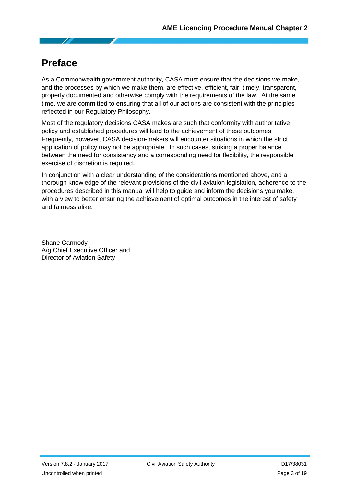# <span id="page-2-0"></span>**Preface**

As a Commonwealth government authority, CASA must ensure that the decisions we make, and the processes by which we make them, are effective, efficient, fair, timely, transparent, properly documented and otherwise comply with the requirements of the law. At the same time, we are committed to ensuring that all of our actions are consistent with the principles reflected in our Regulatory Philosophy.

Most of the regulatory decisions CASA makes are such that conformity with authoritative policy and established procedures will lead to the achievement of these outcomes. Frequently, however, CASA decision-makers will encounter situations in which the strict application of policy may not be appropriate. In such cases, striking a proper balance between the need for consistency and a corresponding need for flexibility, the responsible exercise of discretion is required.

In conjunction with a clear understanding of the considerations mentioned above, and a thorough knowledge of the relevant provisions of the civil aviation legislation, adherence to the procedures described in this manual will help to guide and inform the decisions you make, with a view to better ensuring the achievement of optimal outcomes in the interest of safety and fairness alike.

Shane Carmody A/g Chief Executive Officer and Director of Aviation Safety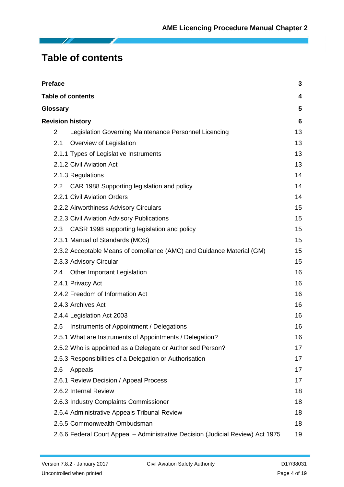# <span id="page-3-0"></span>**Table of contents**

| <b>Preface</b> |                                                                                 | 3  |
|----------------|---------------------------------------------------------------------------------|----|
|                | <b>Table of contents</b>                                                        | 4  |
| Glossary       |                                                                                 | 5  |
|                | <b>Revision history</b>                                                         | 6  |
| 2              | Legislation Governing Maintenance Personnel Licencing                           | 13 |
| 2.1            | Overview of Legislation                                                         | 13 |
|                | 2.1.1 Types of Legislative Instruments                                          | 13 |
|                | 2.1.2 Civil Aviation Act                                                        | 13 |
|                | 2.1.3 Regulations                                                               | 14 |
|                | 2.2 CAR 1988 Supporting legislation and policy                                  | 14 |
|                | 2.2.1 Civil Aviation Orders                                                     | 14 |
|                | 2.2.2 Airworthiness Advisory Circulars                                          | 15 |
|                | 2.2.3 Civil Aviation Advisory Publications                                      | 15 |
|                | 2.3 CASR 1998 supporting legislation and policy                                 | 15 |
|                | 2.3.1 Manual of Standards (MOS)                                                 | 15 |
|                | 2.3.2 Acceptable Means of compliance (AMC) and Guidance Material (GM)           | 15 |
|                | 2.3.3 Advisory Circular                                                         | 15 |
| 2.4            | <b>Other Important Legislation</b>                                              | 16 |
|                | 2.4.1 Privacy Act                                                               | 16 |
|                | 2.4.2 Freedom of Information Act                                                | 16 |
|                | 2.4.3 Archives Act                                                              | 16 |
|                | 2.4.4 Legislation Act 2003                                                      | 16 |
| 2.5            | Instruments of Appointment / Delegations                                        | 16 |
|                | 2.5.1 What are Instruments of Appointments / Delegation?                        | 16 |
|                | 2.5.2 Who is appointed as a Delegate or Authorised Person?                      | 17 |
|                | 2.5.3 Responsibilities of a Delegation or Authorisation                         | 17 |
| 2.6            | Appeals                                                                         | 17 |
|                | 2.6.1 Review Decision / Appeal Process                                          | 17 |
|                | 2.6.2 Internal Review                                                           | 18 |
|                | 2.6.3 Industry Complaints Commissioner                                          | 18 |
|                | 2.6.4 Administrative Appeals Tribunal Review                                    | 18 |
|                | 2.6.5 Commonwealth Ombudsman                                                    | 18 |
|                | 2.6.6 Federal Court Appeal - Administrative Decision (Judicial Review) Act 1975 | 19 |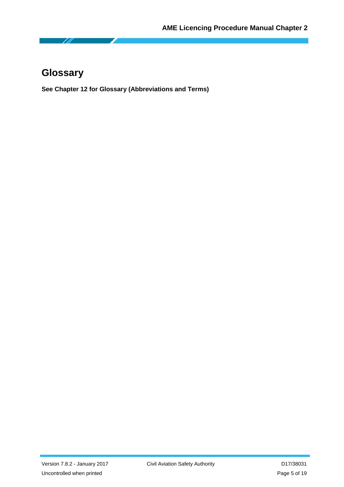<span id="page-4-0"></span>

**See Chapter 12 for Glossary (Abbreviations and Terms)**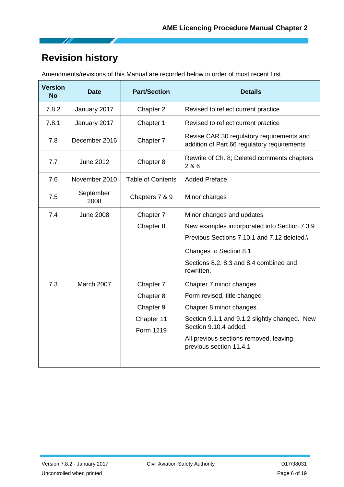# <span id="page-5-0"></span>**Revision history**

Amendments/revisions of this Manual are recorded below in order of most recent first.

| <b>Version</b><br><b>No</b> | <b>Date</b>       | <b>Part/Section</b>      | <b>Details</b>                                                                           |
|-----------------------------|-------------------|--------------------------|------------------------------------------------------------------------------------------|
| 7.8.2                       | January 2017      | Chapter 2                | Revised to reflect current practice                                                      |
| 7.8.1                       | January 2017      | Chapter 1                | Revised to reflect current practice                                                      |
| 7.8                         | December 2016     | Chapter 7                | Revise CAR 30 regulatory requirements and<br>addition of Part 66 regulatory requirements |
| 7.7                         | <b>June 2012</b>  | Chapter 8                | Rewrite of Ch. 8; Deleted comments chapters<br>286                                       |
| 7.6                         | November 2010     | <b>Table of Contents</b> | <b>Added Preface</b>                                                                     |
| 7.5                         | September<br>2008 | Chapters 7 & 9           | Minor changes                                                                            |
| 7.4                         | <b>June 2008</b>  | Chapter 7                | Minor changes and updates                                                                |
|                             |                   | Chapter 8                | New examples incorporated into Section 7.3.9                                             |
|                             |                   |                          | Previous Sections 7.10.1 and 7.12 deleted.                                               |
|                             |                   |                          | Changes to Section 8.1                                                                   |
|                             |                   |                          | Sections 8.2, 8.3 and 8.4 combined and<br>rewritten.                                     |
| 7.3                         | March 2007        | Chapter 7                | Chapter 7 minor changes.                                                                 |
|                             |                   | Chapter 8                | Form revised, title changed                                                              |
|                             |                   | Chapter 9                | Chapter 8 minor changes.                                                                 |
|                             |                   | Chapter 11<br>Form 1219  | Section 9.1.1 and 9.1.2 slightly changed. New<br>Section 9.10.4 added.                   |
|                             |                   |                          | All previous sections removed, leaving<br>previous section 11.4.1                        |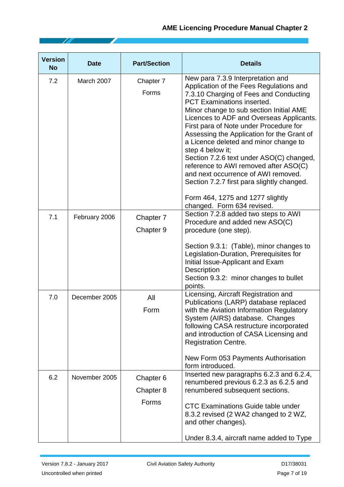| <b>Version</b><br><b>No</b> | <b>Date</b>   | <b>Part/Section</b>             | <b>Details</b>                                                                                                                                                                                                                                                                                                                                                                                                                                                                                                                                                                                                                                      |
|-----------------------------|---------------|---------------------------------|-----------------------------------------------------------------------------------------------------------------------------------------------------------------------------------------------------------------------------------------------------------------------------------------------------------------------------------------------------------------------------------------------------------------------------------------------------------------------------------------------------------------------------------------------------------------------------------------------------------------------------------------------------|
| 7.2                         | March 2007    | Chapter 7<br>Forms              | New para 7.3.9 Interpretation and<br>Application of the Fees Regulations and<br>7.3.10 Charging of Fees and Conducting<br><b>PCT Examinations inserted.</b><br>Minor change to sub section Initial AME<br>Licences to ADF and Overseas Applicants.<br>First para of Note under Procedure for<br>Assessing the Application for the Grant of<br>a Licence deleted and minor change to<br>step 4 below it;<br>Section 7.2.6 text under ASO(C) changed,<br>reference to AWI removed after ASO(C)<br>and next occurrence of AWI removed.<br>Section 7.2.7 first para slightly changed.<br>Form 464, 1275 and 1277 slightly<br>changed. Form 634 revised. |
| 7.1                         | February 2006 | Chapter 7<br>Chapter 9          | Section 7.2.8 added two steps to AWI<br>Procedure and added new ASO(C)<br>procedure (one step).<br>Section 9.3.1: (Table), minor changes to<br>Legislation-Duration, Prerequisites for<br>Initial Issue-Applicant and Exam<br><b>Description</b><br>Section 9.3.2: minor changes to bullet<br>points.                                                                                                                                                                                                                                                                                                                                               |
| 7.0                         | December 2005 | All<br>Form                     | Licensing, Aircraft Registration and<br>Publications (LARP) database replaced<br>with the Aviation Information Regulatory<br>System (AIRS) database. Changes<br>following CASA restructure incorporated<br>and introduction of CASA Licensing and<br><b>Registration Centre.</b><br>New Form 053 Payments Authorisation<br>form introduced.                                                                                                                                                                                                                                                                                                         |
| 6.2                         | November 2005 | Chapter 6<br>Chapter 8<br>Forms | Inserted new paragraphs 6.2.3 and 6.2.4,<br>renumbered previous 6.2.3 as 6.2.5 and<br>renumbered subsequent sections.<br><b>CTC Examinations Guide table under</b><br>8.3.2 revised (2 WA2 changed to 2 WZ,<br>and other changes).<br>Under 8.3.4, aircraft name added to Type                                                                                                                                                                                                                                                                                                                                                                      |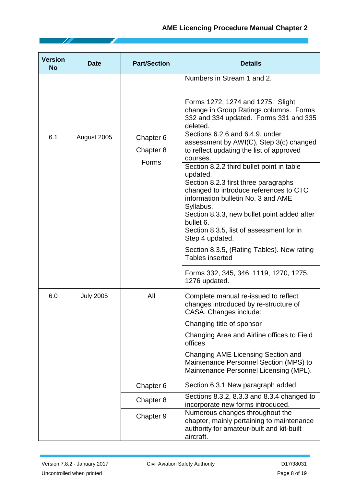| <b>Version</b><br><b>No</b> | <b>Date</b>      | <b>Part/Section</b>             | <b>Details</b>                                                                                                                                                                                                                                                                                                                                                      |
|-----------------------------|------------------|---------------------------------|---------------------------------------------------------------------------------------------------------------------------------------------------------------------------------------------------------------------------------------------------------------------------------------------------------------------------------------------------------------------|
|                             |                  |                                 | Numbers in Stream 1 and 2.<br>Forms 1272, 1274 and 1275: Slight<br>change in Group Ratings columns. Forms<br>332 and 334 updated. Forms 331 and 335                                                                                                                                                                                                                 |
| 6.1                         | August 2005      | Chapter 6<br>Chapter 8<br>Forms | deleted.<br>Sections 6.2.6 and 6.4.9, under<br>assessment by AWI(C), Step 3(c) changed<br>to reflect updating the list of approved<br>courses.                                                                                                                                                                                                                      |
|                             |                  |                                 | Section 8.2.2 third bullet point in table<br>updated.<br>Section 8.2.3 first three paragraphs<br>changed to introduce references to CTC<br>information bulletin No. 3 and AME<br>Syllabus.<br>Section 8.3.3, new bullet point added after<br>bullet 6.<br>Section 8.3.5, list of assessment for in<br>Step 4 updated.<br>Section 8.3.5, (Rating Tables). New rating |
|                             |                  |                                 | <b>Tables inserted</b><br>Forms 332, 345, 346, 1119, 1270, 1275,<br>1276 updated.                                                                                                                                                                                                                                                                                   |
| 6.0                         | <b>July 2005</b> | All                             | Complete manual re-issued to reflect<br>changes introduced by re-structure of<br>CASA. Changes include:<br>Changing title of sponsor<br>Changing Area and Airline offices to Field<br>offices<br>Changing AME Licensing Section and<br>Maintenance Personnel Section (MPS) to<br>Maintenance Personnel Licensing (MPL).                                             |
|                             |                  | Chapter 6                       | Section 6.3.1 New paragraph added.                                                                                                                                                                                                                                                                                                                                  |
|                             |                  | Chapter 8                       | Sections 8.3.2, 8.3.3 and 8.3.4 changed to<br>incorporate new forms introduced.                                                                                                                                                                                                                                                                                     |
|                             |                  | Chapter 9                       | Numerous changes throughout the<br>chapter, mainly pertaining to maintenance<br>authority for amateur-built and kit-built<br>aircraft.                                                                                                                                                                                                                              |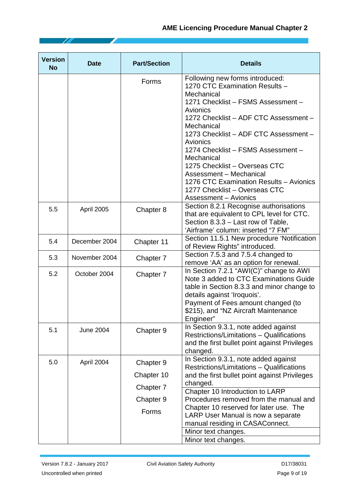| <b>Version</b><br><b>No</b> | <b>Date</b>      | <b>Part/Section</b>     | <b>Details</b>                                                                                                                                                                                                                                                                                                                                                                                                                                                            |
|-----------------------------|------------------|-------------------------|---------------------------------------------------------------------------------------------------------------------------------------------------------------------------------------------------------------------------------------------------------------------------------------------------------------------------------------------------------------------------------------------------------------------------------------------------------------------------|
|                             |                  | Forms                   | Following new forms introduced:<br>1270 CTC Examination Results -<br>Mechanical<br>1271 Checklist - FSMS Assessment -<br>Avionics<br>1272 Checklist - ADF CTC Assessment -<br>Mechanical<br>1273 Checklist - ADF CTC Assessment -<br>Avionics<br>1274 Checklist - FSMS Assessment -<br>Mechanical<br>1275 Checklist - Overseas CTC<br>Assessment - Mechanical<br>1276 CTC Examination Results - Avionics<br>1277 Checklist - Overseas CTC<br><b>Assessment - Avionics</b> |
| 5.5                         | April 2005       | Chapter 8               | Section 8.2.1 Recognise authorisations<br>that are equivalent to CPL level for CTC.<br>Section 8.3.3 – Last row of Table,<br>'Airframe' column: inserted "7 FM"                                                                                                                                                                                                                                                                                                           |
| 5.4                         | December 2004    | Chapter 11              | Section 11.5.1 New procedure 'Notification<br>of Review Rights" introduced.                                                                                                                                                                                                                                                                                                                                                                                               |
| 5.3                         | November 2004    | Chapter 7               | Section 7.5.3 and 7.5.4 changed to<br>remove 'AA' as an option for renewal.                                                                                                                                                                                                                                                                                                                                                                                               |
| 5.2                         | October 2004     | Chapter 7               | In Section 7.2.1 "AWI(C)" change to AWI<br>Note 3 added to CTC Examinations Guide<br>table in Section 8.3.3 and minor change to<br>details against 'Iroquois'.<br>Payment of Fees amount changed (to<br>\$215), and "NZ Aircraft Maintenance<br>Engineer"                                                                                                                                                                                                                 |
| 5.1                         | <b>June 2004</b> | Chapter 9               | In Section 9.3.1, note added against<br>Restrictions/Limitations - Qualifications<br>and the first bullet point against Privileges<br>changed.                                                                                                                                                                                                                                                                                                                            |
| 5.0                         | April 2004       | Chapter 9<br>Chapter 10 | In Section 9.3.1, note added against<br>Restrictions/Limitations - Qualifications<br>and the first bullet point against Privileges<br>changed.                                                                                                                                                                                                                                                                                                                            |
|                             |                  | Chapter 7               | Chapter 10 Introduction to LARP                                                                                                                                                                                                                                                                                                                                                                                                                                           |
|                             |                  | Chapter 9               | Procedures removed from the manual and<br>Chapter 10 reserved for later use. The                                                                                                                                                                                                                                                                                                                                                                                          |
|                             |                  | Forms                   | LARP User Manual is now a separate<br>manual residing in CASAConnect.                                                                                                                                                                                                                                                                                                                                                                                                     |
|                             |                  |                         | Minor text changes.                                                                                                                                                                                                                                                                                                                                                                                                                                                       |
|                             |                  |                         | Minor text changes.                                                                                                                                                                                                                                                                                                                                                                                                                                                       |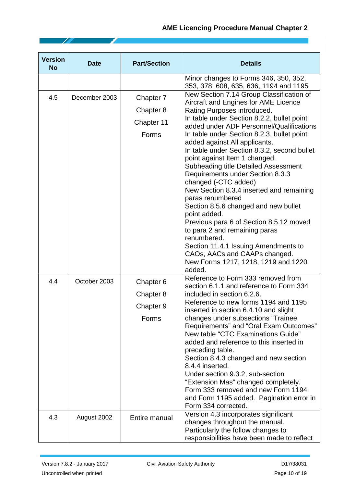| <b>Version</b><br><b>No</b> | <b>Date</b>   | <b>Part/Section</b>                           | <b>Details</b>                                                                                                                                                                                                                                                                                                                                                                                                                                                                                                                                                                                                                                                                                                                                                                                                                   |
|-----------------------------|---------------|-----------------------------------------------|----------------------------------------------------------------------------------------------------------------------------------------------------------------------------------------------------------------------------------------------------------------------------------------------------------------------------------------------------------------------------------------------------------------------------------------------------------------------------------------------------------------------------------------------------------------------------------------------------------------------------------------------------------------------------------------------------------------------------------------------------------------------------------------------------------------------------------|
|                             |               |                                               | Minor changes to Forms 346, 350, 352,<br>353, 378, 608, 635, 636, 1194 and 1195                                                                                                                                                                                                                                                                                                                                                                                                                                                                                                                                                                                                                                                                                                                                                  |
| 4.5                         | December 2003 | Chapter 7<br>Chapter 8<br>Chapter 11<br>Forms | New Section 7.14 Group Classification of<br>Aircraft and Engines for AME Licence<br>Rating Purposes introduced.<br>In table under Section 8.2.2, bullet point<br>added under ADF Personnel/Qualifications<br>In table under Section 8.2.3, bullet point<br>added against All applicants.<br>In table under Section 8.3.2, second bullet<br>point against Item 1 changed.<br><b>Subheading title Detailed Assessment</b><br>Requirements under Section 8.3.3<br>changed (-CTC added)<br>New Section 8.3.4 inserted and remaining<br>paras renumbered<br>Section 8.5.6 changed and new bullet<br>point added.<br>Previous para 6 of Section 8.5.12 moved<br>to para 2 and remaining paras<br>renumbered.<br>Section 11.4.1 Issuing Amendments to<br>CAOs, AACs and CAAPs changed.<br>New Forms 1217, 1218, 1219 and 1220<br>added. |
| 4.4                         | October 2003  | Chapter 6<br>Chapter 8<br>Chapter 9<br>Forms  | Reference to Form 333 removed from<br>section 6.1.1 and reference to Form 334<br>included in section 6.2.6.<br>Reference to new forms 1194 and 1195<br>inserted in section 6.4.10 and slight<br>changes under subsections "Trainee<br>Requirements" and "Oral Exam Outcomes"<br>New table "CTC Examinations Guide"<br>added and reference to this inserted in<br>preceding table.<br>Section 8.4.3 changed and new section<br>8.4.4 inserted.<br>Under section 9.3.2, sub-section<br>"Extension Mas" changed completely.<br>Form 333 removed and new Form 1194<br>and Form 1195 added. Pagination error in<br>Form 334 corrected.                                                                                                                                                                                                |
| 4.3                         | August 2002   | Entire manual                                 | Version 4.3 incorporates significant<br>changes throughout the manual.<br>Particularly the follow changes to<br>responsibilities have been made to reflect                                                                                                                                                                                                                                                                                                                                                                                                                                                                                                                                                                                                                                                                       |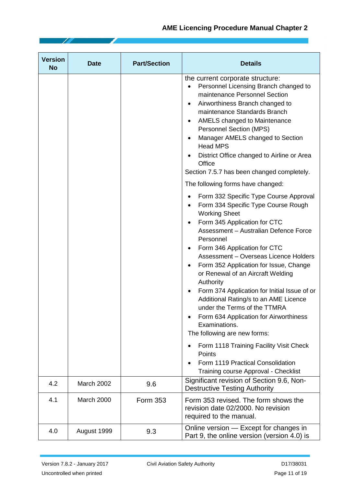| <b>Version</b><br><b>No</b> | <b>Date</b> | <b>Part/Section</b> | <b>Details</b>                                                                                                                                                                                                                                                                                                                                                                                                                                                                                                                                                                                                                                                                                                                                                                                                                                                                                                                                                                                                                        |
|-----------------------------|-------------|---------------------|---------------------------------------------------------------------------------------------------------------------------------------------------------------------------------------------------------------------------------------------------------------------------------------------------------------------------------------------------------------------------------------------------------------------------------------------------------------------------------------------------------------------------------------------------------------------------------------------------------------------------------------------------------------------------------------------------------------------------------------------------------------------------------------------------------------------------------------------------------------------------------------------------------------------------------------------------------------------------------------------------------------------------------------|
|                             |             |                     | the current corporate structure:<br>Personnel Licensing Branch changed to<br>maintenance Personnel Section<br>Airworthiness Branch changed to<br>٠<br>maintenance Standards Branch<br>AMELS changed to Maintenance<br>٠<br><b>Personnel Section (MPS)</b><br>Manager AMELS changed to Section<br><b>Head MPS</b><br>District Office changed to Airline or Area<br>Office<br>Section 7.5.7 has been changed completely.<br>The following forms have changed:<br>Form 332 Specific Type Course Approval<br>Form 334 Specific Type Course Rough<br>٠<br><b>Working Sheet</b><br>Form 345 Application for CTC<br>$\bullet$<br>Assessment - Australian Defence Force<br>Personnel<br>Form 346 Application for CTC<br>Assessment - Overseas Licence Holders<br>Form 352 Application for Issue, Change<br>or Renewal of an Aircraft Welding<br>Authority<br>Form 374 Application for Initial Issue of or<br>Additional Rating/s to an AME Licence<br>under the Terms of the TTMRA<br>Form 634 Application for Airworthiness<br>Examinations. |
|                             |             |                     | The following are new forms:<br>Form 1118 Training Facility Visit Check<br>Points                                                                                                                                                                                                                                                                                                                                                                                                                                                                                                                                                                                                                                                                                                                                                                                                                                                                                                                                                     |
|                             |             |                     | Form 1119 Practical Consolidation<br>Training course Approval - Checklist                                                                                                                                                                                                                                                                                                                                                                                                                                                                                                                                                                                                                                                                                                                                                                                                                                                                                                                                                             |
| 4.2                         | March 2002  | 9.6                 | Significant revision of Section 9.6, Non-<br><b>Destructive Testing Authority</b>                                                                                                                                                                                                                                                                                                                                                                                                                                                                                                                                                                                                                                                                                                                                                                                                                                                                                                                                                     |
| 4.1                         | March 2000  | Form 353            | Form 353 revised. The form shows the<br>revision date 02/2000. No revision<br>required to the manual.                                                                                                                                                                                                                                                                                                                                                                                                                                                                                                                                                                                                                                                                                                                                                                                                                                                                                                                                 |
| 4.0                         | August 1999 | 9.3                 | Online version - Except for changes in<br>Part 9, the online version (version 4.0) is                                                                                                                                                                                                                                                                                                                                                                                                                                                                                                                                                                                                                                                                                                                                                                                                                                                                                                                                                 |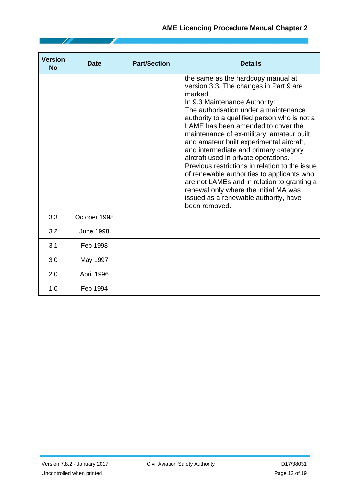| <b>Version</b><br><b>No</b> | <b>Date</b>      | <b>Part/Section</b> | <b>Details</b>                                                                                                                                                                                                                                                                                                                                                                                                                                                                                                                                                                                                                                                                      |
|-----------------------------|------------------|---------------------|-------------------------------------------------------------------------------------------------------------------------------------------------------------------------------------------------------------------------------------------------------------------------------------------------------------------------------------------------------------------------------------------------------------------------------------------------------------------------------------------------------------------------------------------------------------------------------------------------------------------------------------------------------------------------------------|
|                             |                  |                     | the same as the hardcopy manual at<br>version 3.3. The changes in Part 9 are<br>marked.<br>In 9.3 Maintenance Authority:<br>The authorisation under a maintenance<br>authority to a qualified person who is not a<br>LAME has been amended to cover the<br>maintenance of ex-military, amateur built<br>and amateur built experimental aircraft,<br>and intermediate and primary category<br>aircraft used in private operations.<br>Previous restrictions in relation to the issue<br>of renewable authorities to applicants who<br>are not LAMEs and in relation to granting a<br>renewal only where the initial MA was<br>issued as a renewable authority, have<br>been removed. |
| 3.3                         | October 1998     |                     |                                                                                                                                                                                                                                                                                                                                                                                                                                                                                                                                                                                                                                                                                     |
| 3.2                         | <b>June 1998</b> |                     |                                                                                                                                                                                                                                                                                                                                                                                                                                                                                                                                                                                                                                                                                     |
| 3.1                         | Feb 1998         |                     |                                                                                                                                                                                                                                                                                                                                                                                                                                                                                                                                                                                                                                                                                     |
| 3.0                         | May 1997         |                     |                                                                                                                                                                                                                                                                                                                                                                                                                                                                                                                                                                                                                                                                                     |
| 2.0                         | April 1996       |                     |                                                                                                                                                                                                                                                                                                                                                                                                                                                                                                                                                                                                                                                                                     |
| 1.0                         | Feb 1994         |                     |                                                                                                                                                                                                                                                                                                                                                                                                                                                                                                                                                                                                                                                                                     |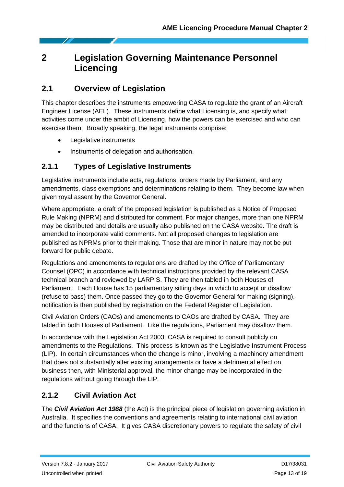# <span id="page-12-0"></span>**2 Legislation Governing Maintenance Personnel Licencing**

# <span id="page-12-1"></span>**2.1 Overview of Legislation**

This chapter describes the instruments empowering CASA to regulate the grant of an Aircraft Engineer License (AEL). These instruments define what Licensing is, and specify what activities come under the ambit of Licensing, how the powers can be exercised and who can exercise them. Broadly speaking, the legal instruments comprise:

- Legislative instruments
- Instruments of delegation and authorisation.

### <span id="page-12-2"></span>**2.1.1 Types of Legislative Instruments**

Legislative instruments include acts, regulations, orders made by Parliament, and any amendments, class exemptions and determinations relating to them. They become law when given royal assent by the Governor General.

Where appropriate, a draft of the proposed legislation is published as a Notice of Proposed Rule Making (NPRM) and distributed for comment. For major changes, more than one NPRM may be distributed and details are usually also published on the CASA website. The draft is amended to incorporate valid comments. Not all proposed changes to legislation are published as NPRMs prior to their making. Those that are minor in nature may not be put forward for public debate.

Regulations and amendments to regulations are drafted by the Office of Parliamentary Counsel (OPC) in accordance with technical instructions provided by the relevant CASA technical branch and reviewed by LARPIS. They are then tabled in both Houses of Parliament. Each House has 15 parliamentary sitting days in which to accept or disallow (refuse to pass) them. Once passed they go to the Governor General for making (signing), notification is then published by registration on the Federal Register of Legislation.

Civil Aviation Orders (CAOs) and amendments to CAOs are drafted by CASA. They are tabled in both Houses of Parliament. Like the regulations, Parliament may disallow them.

In accordance with the Legislation Act 2003, CASA is required to consult publicly on amendments to the Regulations. This process is known as the Legislative Instrument Process (LIP). In certain circumstances when the change is minor, involving a machinery amendment that does not substantially alter existing arrangements or have a detrimental effect on business then, with Ministerial approval, the minor change may be incorporated in the regulations without going through the LIP.

### <span id="page-12-3"></span>**2.1.2 Civil Aviation Act**

The *Civil Aviation Act 1988* (the Act) is the principal piece of legislation governing aviation in Australia. It specifies the conventions and agreements relating to international civil aviation and the functions of CASA. It gives CASA discretionary powers to regulate the safety of civil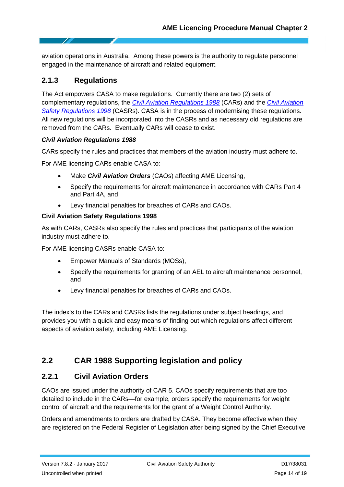aviation operations in Australia. Among these powers is the authority to regulate personnel engaged in the maintenance of aircraft and related equipment.

# <span id="page-13-0"></span>**2.1.3 Regulations**

The Act empowers CASA to make regulations. Currently there are two (2) sets of complementary regulations, the *[Civil Aviation Regulations 1988](https://www.casa.gov.au/rules-and-regulations/landing-page/current-rules?WCMS%3ASTANDARD%3A%3Apc=PC_90991)* (CARs) and the *[Civil Aviation](http://www.casa.gov.au/scripts/nc.dll?WCMS:STANDARD::pc=PC_90991)  [Safety Regulations 1998](http://www.casa.gov.au/scripts/nc.dll?WCMS:STANDARD::pc=PC_90991)* (CASRs). CASA is in the process of modernising these regulations. All new regulations will be incorporated into the CASRs and as necessary old regulations are removed from the CARs. Eventually CARs will cease to exist.

#### *Civil Aviation Regulations 1988*

CARs specify the rules and practices that members of the aviation industry must adhere to.

For AME licensing CARs enable CASA to:

- Make *Civil Aviation Orders* (CAOs) affecting AME Licensing,
- Specify the requirements for aircraft maintenance in accordance with CARs Part 4 and Part 4A, and
- Levy financial penalties for breaches of CARs and CAOs.

#### **Civil Aviation Safety Regulations 1998**

As with CARs, CASRs also specify the rules and practices that participants of the aviation industry must adhere to.

For AME licensing CASRs enable CASA to:

- Empower Manuals of Standards (MOSs),
- Specify the requirements for granting of an AEL to aircraft maintenance personnel, and
- Levy financial penalties for breaches of CARs and CAOs.

The index's to the CARs and CASRs lists the regulations under subject headings, and provides you with a quick and easy means of finding out which regulations affect different aspects of aviation safety, including AME Licensing.

# <span id="page-13-1"></span>**2.2 CAR 1988 Supporting legislation and policy**

#### <span id="page-13-2"></span>**2.2.1 Civil Aviation Orders**

CAOs are issued under the authority of CAR 5. CAOs specify requirements that are too detailed to include in the CARs—for example, orders specify the requirements for weight control of aircraft and the requirements for the grant of a Weight Control Authority.

Orders and amendments to orders are drafted by CASA. They become effective when they are registered on the Federal Register of Legislation after being signed by the Chief Executive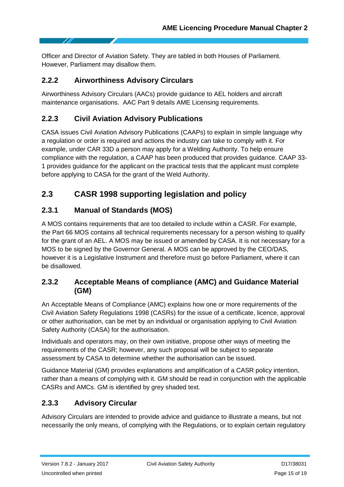Officer and Director of Aviation Safety. They are tabled in both Houses of Parliament. However, Parliament may disallow them.

# <span id="page-14-0"></span>**2.2.2 Airworthiness Advisory Circulars**

Airworthiness Advisory Circulars (AACs) provide guidance to AEL holders and aircraft maintenance organisations. AAC Part 9 details AME Licensing requirements.

# <span id="page-14-1"></span>**2.2.3 Civil Aviation Advisory Publications**

CASA issues Civil Aviation Advisory Publications (CAAPs) to explain in simple language why a regulation or order is required and actions the industry can take to comply with it. For example, under CAR 33D a person may apply for a Welding Authority. To help ensure compliance with the regulation, a CAAP has been produced that provides guidance. CAAP 33- 1 provides guidance for the applicant on the practical tests that the applicant must complete before applying to CASA for the grant of the Weld Authority.

# <span id="page-14-2"></span>**2.3 CASR 1998 supporting legislation and policy**

# <span id="page-14-3"></span>**2.3.1 Manual of Standards (MOS)**

A MOS contains requirements that are too detailed to include within a CASR. For example, the Part 66 MOS contains all technical requirements necessary for a person wishing to qualify for the grant of an AEL. A MOS may be issued or amended by CASA. It is not necessary for a MOS to be signed by the Governor General. A MOS can be approved by the CEO/DAS, however it is a Legislative Instrument and therefore must go before Parliament, where it can be disallowed.

# <span id="page-14-4"></span>**2.3.2 Acceptable Means of compliance (AMC) and Guidance Material (GM)**

An Acceptable Means of Compliance (AMC) explains how one or more requirements of the Civil Aviation Safety Regulations 1998 (CASRs) for the issue of a certificate, licence, approval or other authorisation, can be met by an individual or organisation applying to Civil Aviation Safety Authority (CASA) for the authorisation.

Individuals and operators may, on their own initiative, propose other ways of meeting the requirements of the CASR; however, any such proposal will be subject to separate assessment by CASA to determine whether the authorisation can be issued.

Guidance Material (GM) provides explanations and amplification of a CASR policy intention, rather than a means of complying with it. GM should be read in conjunction with the applicable CASRs and AMCs. GM is identified by grey shaded text.

# <span id="page-14-5"></span>**2.3.3 Advisory Circular**

Advisory Circulars are intended to provide advice and guidance to illustrate a means, but not necessarily the only means, of complying with the Regulations, or to explain certain regulatory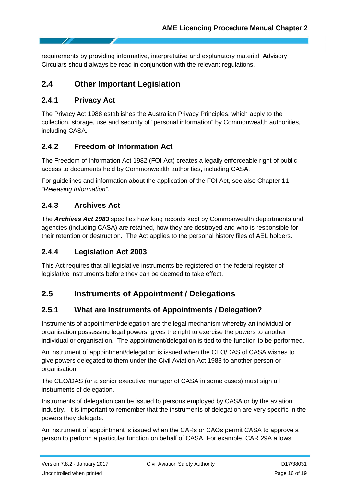requirements by providing informative, interpretative and explanatory material. Advisory Circulars should always be read in conjunction with the relevant regulations.

# <span id="page-15-0"></span>**2.4 Other Important Legislation**

#### <span id="page-15-1"></span>**2.4.1 Privacy Act**

The Privacy Act 1988 establishes the Australian Privacy Principles, which apply to the collection, storage, use and security of "personal information" by Commonwealth authorities, including CASA.

### <span id="page-15-2"></span>**2.4.2 Freedom of Information Act**

The Freedom of Information Act 1982 (FOI Act) creates a legally enforceable right of public access to documents held by Commonwealth authorities, including CASA.

For guidelines and information about the application of the FOI Act, see also Chapter 11 *"Releasing Information"*.

### <span id="page-15-3"></span>**2.4.3 Archives Act**

The *Archives Act 1983* specifies how long records kept by Commonwealth departments and agencies (including CASA) are retained, how they are destroyed and who is responsible for their retention or destruction. The Act applies to the personal history files of AEL holders.

### <span id="page-15-4"></span>**2.4.4 Legislation Act 2003**

This Act requires that all legislative instruments be registered on the federal register of legislative instruments before they can be deemed to take effect.

# <span id="page-15-5"></span>**2.5 Instruments of Appointment / Delegations**

### <span id="page-15-6"></span>**2.5.1 What are Instruments of Appointments / Delegation?**

Instruments of appointment/delegation are the legal mechanism whereby an individual or organisation possessing legal powers, gives the right to exercise the powers to another individual or organisation. The appointment/delegation is tied to the function to be performed.

An instrument of appointment/delegation is issued when the CEO/DAS of CASA wishes to give powers delegated to them under the Civil Aviation Act 1988 to another person or organisation.

The CEO/DAS (or a senior executive manager of CASA in some cases) must sign all instruments of delegation.

Instruments of delegation can be issued to persons employed by CASA or by the aviation industry. It is important to remember that the instruments of delegation are very specific in the powers they delegate.

An instrument of appointment is issued when the CARs or CAOs permit CASA to approve a person to perform a particular function on behalf of CASA. For example, CAR 29A allows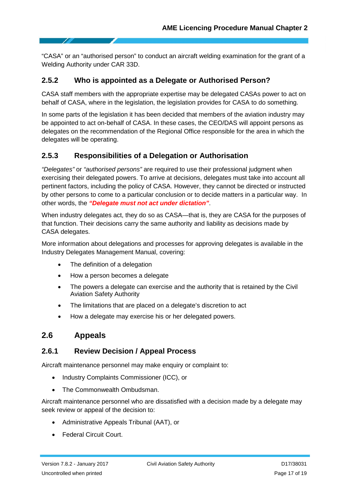"CASA" or an "authorised person" to conduct an aircraft welding examination for the grant of a Welding Authority under CAR 33D.

#### <span id="page-16-0"></span>**2.5.2 Who is appointed as a Delegate or Authorised Person?**

CASA staff members with the appropriate expertise may be delegated CASAs power to act on behalf of CASA, where in the legislation, the legislation provides for CASA to do something.

In some parts of the legislation it has been decided that members of the aviation industry may be appointed to act on-behalf of CASA. In these cases, the CEO/DAS will appoint persons as delegates on the recommendation of the Regional Office responsible for the area in which the delegates will be operating.

### <span id="page-16-1"></span>**2.5.3 Responsibilities of a Delegation or Authorisation**

*"Delegates"* or *"authorised persons"* are required to use their professional judgment when exercising their delegated powers. To arrive at decisions, delegates must take into account all pertinent factors, including the policy of CASA. However, they cannot be directed or instructed by other persons to come to a particular conclusion or to decide matters in a particular way. In other words, the *"Delegate must not act under dictation"*.

When industry delegates act, they do so as CASA—that is, they are CASA for the purposes of that function. Their decisions carry the same authority and liability as decisions made by CASA delegates.

More information about delegations and processes for approving delegates is available in the Industry Delegates Management Manual, covering:

- The definition of a delegation
- How a person becomes a delegate
- The powers a delegate can exercise and the authority that is retained by the Civil Aviation Safety Authority
- The limitations that are placed on a delegate's discretion to act
- How a delegate may exercise his or her delegated powers.

### <span id="page-16-2"></span>**2.6 Appeals**

#### <span id="page-16-3"></span>**2.6.1 Review Decision / Appeal Process**

Aircraft maintenance personnel may make enquiry or complaint to:

- Industry Complaints Commissioner (ICC), or
- The Commonwealth Ombudsman.

Aircraft maintenance personnel who are dissatisfied with a decision made by a delegate may seek review or appeal of the decision to:

- Administrative Appeals Tribunal (AAT), or
- Federal Circuit Court.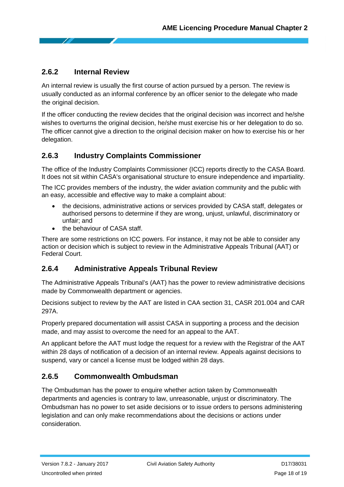### <span id="page-17-0"></span>**2.6.2 Internal Review**

An internal review is usually the first course of action pursued by a person. The review is usually conducted as an informal conference by an officer senior to the delegate who made the original decision.

If the officer conducting the review decides that the original decision was incorrect and he/she wishes to overturns the original decision, he/she must exercise his or her delegation to do so. The officer cannot give a direction to the original decision maker on how to exercise his or her delegation.

# <span id="page-17-1"></span>**2.6.3 Industry Complaints Commissioner**

The office of the Industry Complaints Commissioner (ICC) reports directly to the CASA Board. It does not sit within CASA's organisational structure to ensure independence and impartiality.

The ICC provides members of the industry, the wider aviation community and the public with an easy, accessible and effective way to make a complaint about:

- the decisions, administrative actions or services provided by CASA staff, delegates or authorised persons to determine if they are wrong, unjust, unlawful, discriminatory or unfair; and
- the behaviour of CASA staff.

There are some restrictions on ICC powers. For instance, it may not be able to consider any action or decision which is subject to review in the Administrative Appeals Tribunal (AAT) or Federal Court.

### <span id="page-17-2"></span>**2.6.4 Administrative Appeals Tribunal Review**

The Administrative Appeals Tribunal's (AAT) has the power to review administrative decisions made by Commonwealth department or agencies.

Decisions subject to review by the AAT are listed in CAA section 31, CASR 201.004 and CAR 297A.

Properly prepared documentation will assist CASA in supporting a process and the decision made, and may assist to overcome the need for an appeal to the AAT.

An applicant before the AAT must lodge the request for a review with the Registrar of the AAT within 28 days of notification of a decision of an internal review. Appeals against decisions to suspend, vary or cancel a license must be lodged within 28 days.

### <span id="page-17-3"></span>**2.6.5 Commonwealth Ombudsman**

The Ombudsman has the power to enquire whether action taken by Commonwealth departments and agencies is contrary to law, unreasonable, unjust or discriminatory. The Ombudsman has no power to set aside decisions or to issue orders to persons administering legislation and can only make recommendations about the decisions or actions under consideration.